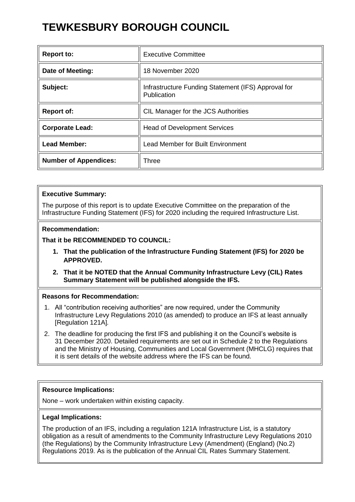# **TEWKESBURY BOROUGH COUNCIL**

| <b>Report to:</b>            | <b>Executive Committee</b>                                         |
|------------------------------|--------------------------------------------------------------------|
| Date of Meeting:             | 18 November 2020                                                   |
| Subject:                     | Infrastructure Funding Statement (IFS) Approval for<br>Publication |
| <b>Report of:</b>            | CIL Manager for the JCS Authorities                                |
| <b>Corporate Lead:</b>       | <b>Head of Development Services</b>                                |
| <b>Lead Member:</b>          | <b>Lead Member for Built Environment</b>                           |
| <b>Number of Appendices:</b> | Three                                                              |

## **Executive Summary:**

The purpose of this report is to update Executive Committee on the preparation of the Infrastructure Funding Statement (IFS) for 2020 including the required Infrastructure List.

## **Recommendation:**

# **That it be RECOMMENDED TO COUNCIL:**

- **1. That the publication of the Infrastructure Funding Statement (IFS) for 2020 be APPROVED.**
- **2. That it be NOTED that the Annual Community Infrastructure Levy (CIL) Rates Summary Statement will be published alongside the IFS.**

## **Reasons for Recommendation:**

- 1. All "contribution receiving authorities" are now required, under the Community Infrastructure Levy Regulations 2010 (as amended) to produce an IFS at least annually [Regulation 121A]*.*
- 2. The deadline for producing the first IFS and publishing it on the Council's website is 31 December 2020. Detailed requirements are set out in Schedule 2 to the Regulations and the Ministry of Housing, Communities and Local Government (MHCLG) requires that it is sent details of the website address where the IFS can be found.

# **Resource Implications:**

None – work undertaken within existing capacity.

# **Legal Implications:**

The production of an IFS, including a regulation 121A Infrastructure List, is a statutory obligation as a result of amendments to the Community Infrastructure Levy Regulations 2010 (the Regulations) by the Community Infrastructure Levy (Amendment) (England) (No.2) Regulations 2019. As is the publication of the Annual CIL Rates Summary Statement.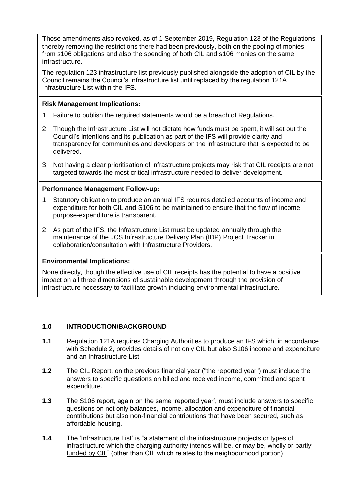Those amendments also revoked, as of 1 September 2019, Regulation 123 of the Regulations thereby removing the restrictions there had been previously, both on the pooling of monies from s106 obligations and also the spending of both CIL and s106 monies on the same infrastructure.

The regulation 123 infrastructure list previously published alongside the adoption of CIL by the Council remains the Council's infrastructure list until replaced by the regulation 121A Infrastructure List within the IFS.

## **Risk Management Implications:**

- 1. Failure to publish the required statements would be a breach of Regulations.
- 2. Though the Infrastructure List will not dictate how funds must be spent, it will set out the Council's intentions and its publication as part of the IFS will provide clarity and transparency for communities and developers on the infrastructure that is expected to be delivered.
- 3. Not having a clear prioritisation of infrastructure projects may risk that CIL receipts are not targeted towards the most critical infrastructure needed to deliver development.

## **Performance Management Follow-up:**

- 1. Statutory obligation to produce an annual IFS requires detailed accounts of income and expenditure for both CIL and S106 to be maintained to ensure that the flow of incomepurpose-expenditure is transparent.
- 2. As part of the IFS, the Infrastructure List must be updated annually through the maintenance of the JCS Infrastructure Delivery Plan (IDP) Project Tracker in collaboration/consultation with Infrastructure Providers.

## **Environmental Implications:**

None directly, though the effective use of CIL receipts has the potential to have a positive impact on all three dimensions of sustainable development through the provision of infrastructure necessary to facilitate growth including environmental infrastructure.

## **1.0 INTRODUCTION/BACKGROUND**

- **1.1** Regulation 121A requires Charging Authorities to produce an IFS which, in accordance with Schedule 2, provides details of not only CIL but also S106 income and expenditure and an Infrastructure List.
- **1.2** The CIL Report, on the previous financial year ("the reported year") must include the answers to specific questions on billed and received income, committed and spent expenditure.
- **1.3** The S106 report, again on the same 'reported year', must include answers to specific questions on not only balances, income, allocation and expenditure of financial contributions but also non-financial contributions that have been secured, such as affordable housing.
- **1.4** The 'Infrastructure List' is "a statement of the infrastructure projects or types of infrastructure which the charging authority intends will be, or may be, wholly or partly funded by CIL" (other than CIL which relates to the neighbourhood portion).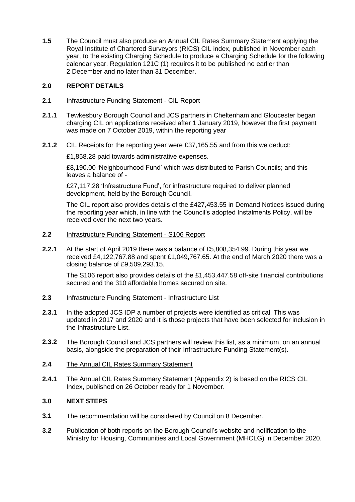**1.5** The Council must also produce an Annual CIL Rates Summary Statement applying the Royal Institute of Chartered Surveyors (RICS) CIL index, published in November each year, to the existing Charging Schedule to produce a Charging Schedule for the following calendar year. Regulation 121C (1) requires it to be published no earlier than 2 December and no later than 31 December.

## **2.0 REPORT DETAILS**

- **2.1** Infrastructure Funding Statement CIL Report
- **2.1.1** Tewkesbury Borough Council and JCS partners in Cheltenham and Gloucester began charging CIL on applications received after 1 January 2019, however the first payment was made on 7 October 2019, within the reporting year
- **2.1.2** CIL Receipts for the reporting year were £37,165.55 and from this we deduct:

£1,858.28 paid towards administrative expenses.

£8,190.00 'Neighbourhood Fund' which was distributed to Parish Councils; and this leaves a balance of -

£27,117.28 'Infrastructure Fund', for infrastructure required to deliver planned development, held by the Borough Council.

The CIL report also provides details of the £427,453.55 in Demand Notices issued during the reporting year which, in line with the Council's adopted Instalments Policy, will be received over the next two years.

- **2.2** Infrastructure Funding Statement S106 Report
- **2.2.1** At the start of April 2019 there was a balance of £5,808,354.99. During this year we received £4,122,767.88 and spent £1,049,767.65. At the end of March 2020 there was a closing balance of £9,509,293.15.

The S106 report also provides details of the £1,453,447.58 off-site financial contributions secured and the 310 affordable homes secured on site.

- **2.3** Infrastructure Funding Statement Infrastructure List
- **2.3.1** In the adopted JCS IDP a number of projects were identified as critical. This was updated in 2017 and 2020 and it is those projects that have been selected for inclusion in the Infrastructure List.
- **2.3.2** The Borough Council and JCS partners will review this list, as a minimum, on an annual basis, alongside the preparation of their Infrastructure Funding Statement(s).

# **2.4** The Annual CIL Rates Summary Statement

**2.4.1** The Annual CIL Rates Summary Statement (Appendix 2) is based on the RICS CIL Index, published on 26 October ready for 1 November.

# **3.0 NEXT STEPS**

- **3.1** The recommendation will be considered by Council on 8 December.
- **3.2** Publication of both reports on the Borough Council's website and notification to the Ministry for Housing, Communities and Local Government (MHCLG) in December 2020.